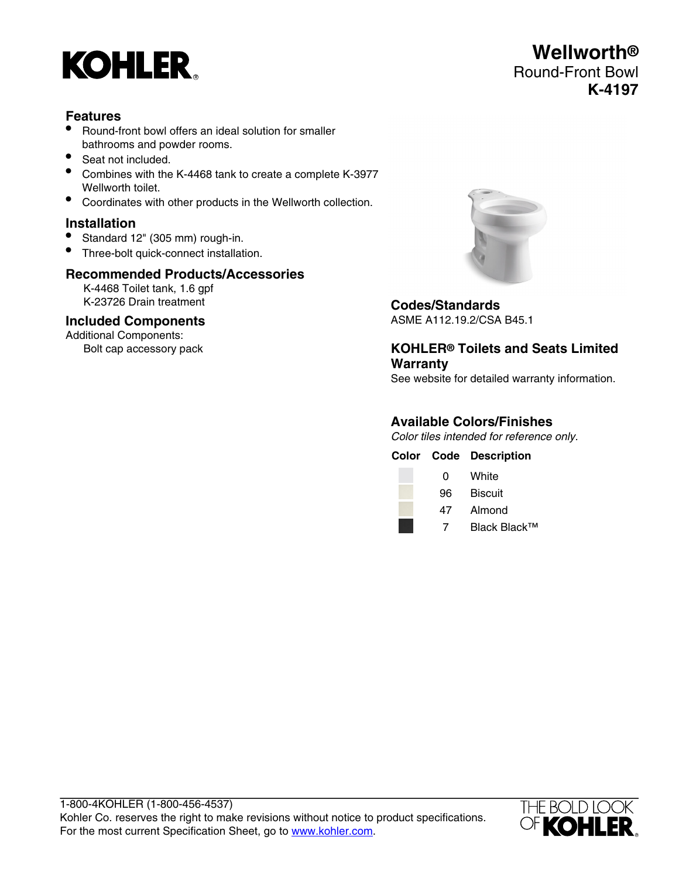

# **Features**

- Round-front bowl offers an ideal solution for smaller bathrooms and powder rooms.
- Seat not included.
- Combines with the K-4468 tank to create a complete K-3977 Wellworth toilet.
- Coordinates with other products in the Wellworth collection.

# **Installation**

- Standard 12" (305 mm) rough-in.
- Three-bolt quick-connect installation.

### **Recommended Products/Accessories**

K-4468 Toilet tank, 1.6 gpf K-23726 Drain treatment

# **Included Components**

Additional Components: Bolt cap accessory pack



# **Codes/Standards**

ASME A112.19.2/CSA B45.1

# **KOHLER® Toilets and Seats Limited Warranty**

See website for detailed warranty information.

# **Available Colors/Finishes**

Color tiles intended for reference only.

|   | <b>Color Code Description</b> |
|---|-------------------------------|
| 0 | White                         |
|   | <b>Biscuit</b>                |
|   | 47 Almond                     |

7 Black Black™